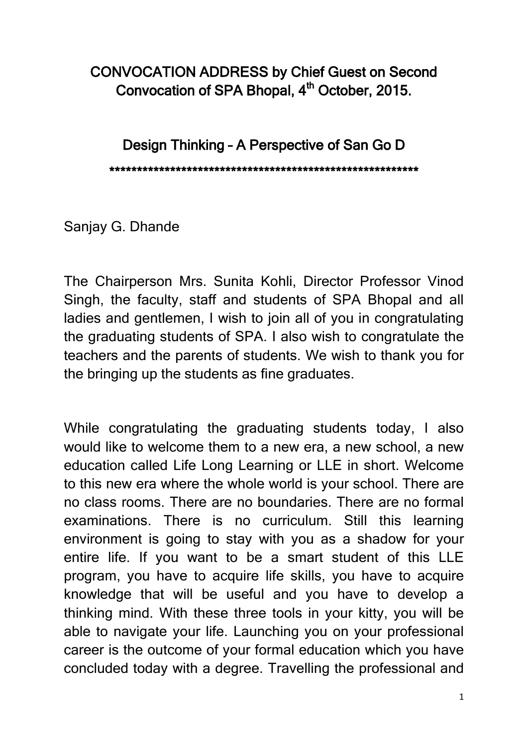## CONVOCATION ADDRESS by Chief Guest on Second Convocation of SPA Bhopal,  $4<sup>th</sup>$  October, 2015.

Design Thinking – A Perspective of San Go D

\*\*\*\*\*\*\*\*\*\*\*\*\*\*\*\*\*\*\*\*\*\*\*\*\*\*\*\*\*\*\*\*\*\*\*\*\*\*\*\*\*\*\*\*\*\*\*\*\*\*\*\*\*\*\*\*

Sanjay G. Dhande

The Chairperson Mrs. Sunita Kohli, Director Professor Vinod Singh, the faculty, staff and students of SPA Bhopal and all ladies and gentlemen, I wish to join all of you in congratulating the graduating students of SPA. I also wish to congratulate the teachers and the parents of students. We wish to thank you for the bringing up the students as fine graduates.

While congratulating the graduating students today, I also would like to welcome them to a new era, a new school, a new education called Life Long Learning or LLE in short. Welcome to this new era where the whole world is your school. There are no class rooms. There are no boundaries. There are no formal examinations. There is no curriculum. Still this learning environment is going to stay with you as a shadow for your entire life. If you want to be a smart student of this LLE program, you have to acquire life skills, you have to acquire knowledge that will be useful and you have to develop a thinking mind. With these three tools in your kitty, you will be able to navigate your life. Launching you on your professional career is the outcome of your formal education which you have concluded today with a degree. Travelling the professional and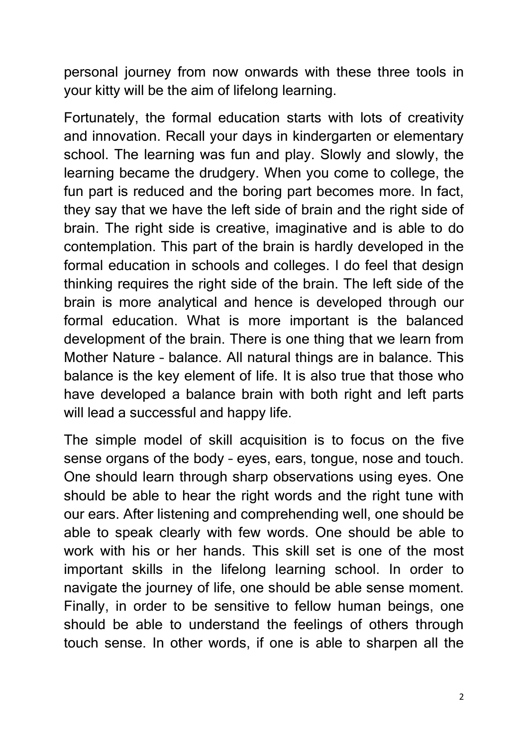personal journey from now onwards with these three tools in your kitty will be the aim of lifelong learning.

Fortunately, the formal education starts with lots of creativity and innovation. Recall your days in kindergarten or elementary school. The learning was fun and play. Slowly and slowly, the learning became the drudgery. When you come to college, the fun part is reduced and the boring part becomes more. In fact, they say that we have the left side of brain and the right side of brain. The right side is creative, imaginative and is able to do contemplation. This part of the brain is hardly developed in the formal education in schools and colleges. I do feel that design thinking requires the right side of the brain. The left side of the brain is more analytical and hence is developed through our formal education. What is more important is the balanced development of the brain. There is one thing that we learn from Mother Nature – balance. All natural things are in balance. This balance is the key element of life. It is also true that those who have developed a balance brain with both right and left parts will lead a successful and happy life.

The simple model of skill acquisition is to focus on the five sense organs of the body – eyes, ears, tongue, nose and touch. One should learn through sharp observations using eyes. One should be able to hear the right words and the right tune with our ears. After listening and comprehending well, one should be able to speak clearly with few words. One should be able to work with his or her hands. This skill set is one of the most important skills in the lifelong learning school. In order to navigate the journey of life, one should be able sense moment. Finally, in order to be sensitive to fellow human beings, one should be able to understand the feelings of others through touch sense. In other words, if one is able to sharpen all the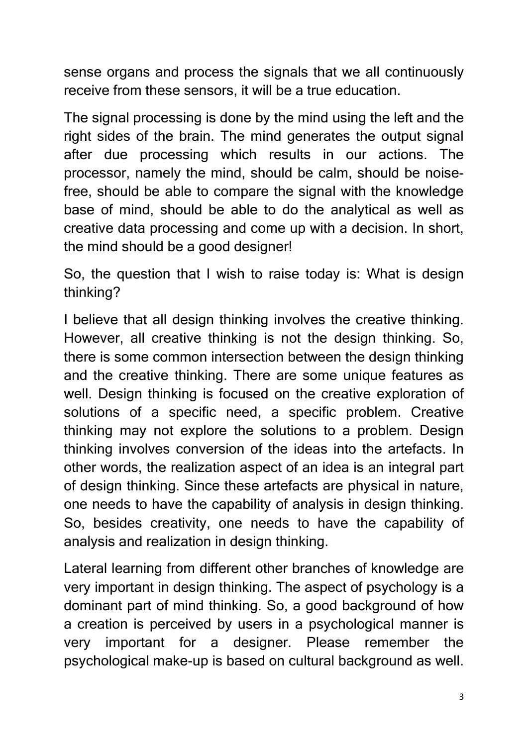sense organs and process the signals that we all continuously receive from these sensors, it will be a true education.

The signal processing is done by the mind using the left and the right sides of the brain. The mind generates the output signal after due processing which results in our actions. The processor, namely the mind, should be calm, should be noisefree, should be able to compare the signal with the knowledge base of mind, should be able to do the analytical as well as creative data processing and come up with a decision. In short, the mind should be a good designer!

So, the question that I wish to raise today is: What is design thinking?

I believe that all design thinking involves the creative thinking. However, all creative thinking is not the design thinking. So, there is some common intersection between the design thinking and the creative thinking. There are some unique features as well. Design thinking is focused on the creative exploration of solutions of a specific need, a specific problem. Creative thinking may not explore the solutions to a problem. Design thinking involves conversion of the ideas into the artefacts. In other words, the realization aspect of an idea is an integral part of design thinking. Since these artefacts are physical in nature, one needs to have the capability of analysis in design thinking. So, besides creativity, one needs to have the capability of analysis and realization in design thinking.

Lateral learning from different other branches of knowledge are very important in design thinking. The aspect of psychology is a dominant part of mind thinking. So, a good background of how a creation is perceived by users in a psychological manner is very important for a designer. Please remember the psychological make-up is based on cultural background as well.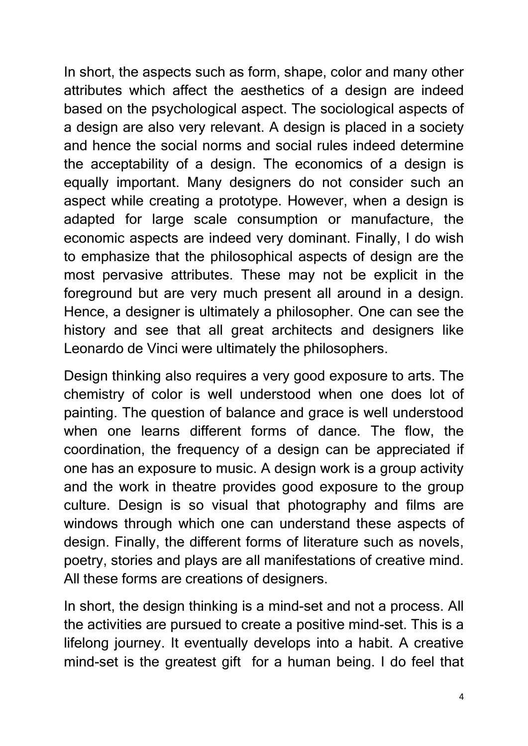In short, the aspects such as form, shape, color and many other attributes which affect the aesthetics of a design are indeed based on the psychological aspect. The sociological aspects of a design are also very relevant. A design is placed in a society and hence the social norms and social rules indeed determine the acceptability of a design. The economics of a design is equally important. Many designers do not consider such an aspect while creating a prototype. However, when a design is adapted for large scale consumption or manufacture, the economic aspects are indeed very dominant. Finally, I do wish to emphasize that the philosophical aspects of design are the most pervasive attributes. These may not be explicit in the foreground but are very much present all around in a design. Hence, a designer is ultimately a philosopher. One can see the history and see that all great architects and designers like Leonardo de Vinci were ultimately the philosophers.

Design thinking also requires a very good exposure to arts. The chemistry of color is well understood when one does lot of painting. The question of balance and grace is well understood when one learns different forms of dance. The flow, the coordination, the frequency of a design can be appreciated if one has an exposure to music. A design work is a group activity and the work in theatre provides good exposure to the group culture. Design is so visual that photography and films are windows through which one can understand these aspects of design. Finally, the different forms of literature such as novels, poetry, stories and plays are all manifestations of creative mind. All these forms are creations of designers.

In short, the design thinking is a mind-set and not a process. All the activities are pursued to create a positive mind-set. This is a lifelong journey. It eventually develops into a habit. A creative mind-set is the greatest gift for a human being. I do feel that